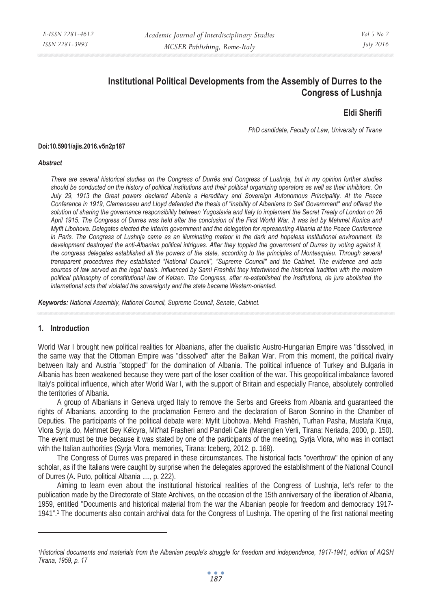# **Institutional Political Developments from the Assembly of Durres to the Congress of Lushnja**

# **Eldi Sherifi**

*PhD candidate, Faculty of Law, University of Tirana* 

#### **Doi:10.5901/ajis.2016.v5n2p187**

#### *Abstract*

*There are several historical studies on the Congress of Durrës and Congress of Lushnja, but in my opinion further studies should be conducted on the history of political institutions and their political organizing operators as well as their inhibitors. On July 29, 1913 the Great powers declared Albania a Hereditary and Sovereign Autonomous Principality. At the Peace Conference in 1919, Clemenceau and Lloyd defended the thesis of "inability of Albanians to Self Government" and offered the solution of sharing the governance responsibility between Yugoslavia and Italy to implement the Secret Treaty of London on 26 April 1915. The Congress of Durres was held after the conclusion of the First World War. It was led by Mehmet Konica and Myfit Libohova. Delegates elected the interim government and the delegation for representing Albania at the Peace Conference in Paris. The Congress of Lushnja came as an illuminating meteor in the dark and hopeless institutional environment. Its development destroyed the anti-Albanian political intrigues. After they toppled the government of Durres by voting against it, the congress delegates established all the powers of the state, according to the principles of Montesquieu. Through several transparent procedures they established "National Council", "Supreme Council" and the Cabinet. The evidence and acts sources of law served as the legal basis. Influenced by Sami Frashëri they intertwined the historical tradition with the modern* political philosophy of constitutional law of Kelzen. The Congress, after re-established the institutions, de jure abolished the *international acts that violated the sovereignty and the state became Western-oriented.* 

*Keywords: National Assembly, National Council, Supreme Council, Senate, Cabinet.* 

## **1. Introduction**

 $\overline{a}$ 

World War I brought new political realities for Albanians, after the dualistic Austro-Hungarian Empire was "dissolved, in the same way that the Ottoman Empire was "dissolved" after the Balkan War. From this moment, the political rivalry between Italy and Austria "stopped" for the domination of Albania. The political influence of Turkey and Bulgaria in Albania has been weakened because they were part of the loser coalition of the war. This geopolitical imbalance favored Italy's political influence, which after World War I, with the support of Britain and especially France, absolutely controlled the territories of Albania.

A group of Albanians in Geneva urged Italy to remove the Serbs and Greeks from Albania and guaranteed the rights of Albanians, according to the proclamation Ferrero and the declaration of Baron Sonnino in the Chamber of Deputies. The participants of the political debate were: Myfit Libohova, Mehdi Frashëri, Turhan Pasha, Mustafa Kruja, Vlora Syrja do, Mehmet Bey Këlcyra, Mit'hat Frasheri and Pandeli Cale (Marenglen Verli, Tirana: Neriada, 2000, p. 150). The event must be true because it was stated by one of the participants of the meeting, Syrja Vlora, who was in contact with the Italian authorities (Syrja Vlora, memories, Tirana: Iceberg, 2012, p. 168).

The Congress of Durres was prepared in these circumstances. The historical facts "overthrow" the opinion of any scholar, as if the Italians were caught by surprise when the delegates approved the establishment of the National Council of Durres (A. Puto, political Albania ...., p. 222).

Aiming to learn even about the institutional historical realities of the Congress of Lushnja, let's refer to the publication made by the Directorate of State Archives, on the occasion of the 15th anniversary of the liberation of Albania, 1959, entitled "Documents and historical material from the war the Albanian people for freedom and democracy 1917- 1941".1 The documents also contain archival data for the Congress of Lushnja. The opening of the first national meeting

*<sup>1</sup>Historical documents and materials from the Albanian people's struggle for freedom and independence, 1917-1941, edition of AQSH Tirana, 1959, p. 17*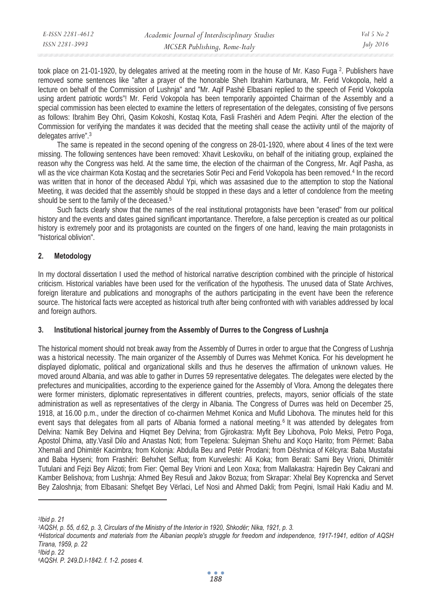| E-ISSN 2281-4612 | Academic Journal of Interdisciplinary Studies | $Vol_5$ No 2     |
|------------------|-----------------------------------------------|------------------|
| ISSN 2281-3993   | MCSER Publishing, Rome-Italy                  | <i>July 2016</i> |

took place on 21-01-1920, by delegates arrived at the meeting room in the house of Mr. Kaso Fuga 2. Publishers have removed some sentences like "after a prayer of the honorable Sheh Ibrahim Karbunara, Mr. Ferid Vokopola, held a lecture on behalf of the Commission of Lushnja" and "Mr. Aqif Pashë Elbasani replied to the speech of Ferid Vokopola using ardent patriotic words"! Mr. Ferid Vokopola has been temporarily appointed Chairman of the Assembly and a special commission has been elected to examine the letters of representation of the delegates, consisting of five persons as follows: Ibrahim Bey Ohri, Qasim Kokoshi, Kostaq Kota, Fasli Frashëri and Adem Peqini. After the election of the Commission for verifying the mandates it was decided that the meeting shall cease the actiivity until of the majority of delegates arrive".3

The same is repeated in the second opening of the congress on 28-01-1920, where about 4 lines of the text were missing. The following sentences have been removed: Xhavit Leskoviku, on behalf of the initiating group, explained the reason why the Congress was held. At the same time, the election of the chairman of the Congress, Mr. Aqif Pasha, as wll as the vice chairman Kota Kostaq and the secretaries Sotir Peci and Ferid Vokopola has been removed.4 In the record was written that in honor of the deceased Abdul Ypi, which was assasined due to the attemption to stop the National Meeting, it was decided that the assembly should be stopped in these days and a letter of condolence from the meeting should be sent to the family of the deceased.5

Such facts clearly show that the names of the real institutional protagonists have been "erased" from our political history and the events and dates gained significant importantance. Therefore, a false perception is created as our political history is extremely poor and its protagonists are counted on the fingers of one hand, leaving the main protagonists in "historical oblivion".

## **2. Metodology**

In my doctoral dissertation I used the method of historical narrative description combined with the principle of historical criticism. Historical variables have been used for the verification of the hypothesis. The unused data of State Archives, foreign literature and publications and monographs of the authors participating in the event have been the reference source. The historical facts were accepted as historical truth after being confronted with with variables addressed by local and foreign authors.

#### **3. Institutional historical journey from the Assembly of Durres to the Congress of Lushnja**

The historical moment should not break away from the Assembly of Durres in order to argue that the Congress of Lushnja was a historical necessity. The main organizer of the Assembly of Durres was Mehmet Konica. For his development he displayed diplomatic, political and organizational skills and thus he deserves the affirmation of unknown values. He moved around Albania, and was able to gather in Durres 59 representative delegates. The delegates were elected by the prefectures and municipalities, according to the experience gained for the Assembly of Vlora. Among the delegates there were former ministers, diplomatic representatives in different countries, prefects, mayors, senior officials of the state administration as well as representatives of the clergy in Albania. The Congress of Durres was held on December 25, 1918, at 16.00 p.m., under the direction of co-chairmen Mehmet Konica and Mufid Libohova. The minutes held for this event says that delegates from all parts of Albania formed a national meeting.<sup>6</sup> It was attended by delegates from Delvina: Namik Bey Delvina and Hiqmet Bey Delvina; from Gjirokastra: Myfit Bey Libohova, Polo Meksi, Petro Poga, Apostol Dhima, atty.Vasil Dilo and Anastas Noti; from Tepelena: Sulejman Shehu and Koço Harito; from Përmet: Baba Xhemali and Dhimitër Kacimbra; from Kolonja: Abdulla Beu and Petër Prodani; from Dëshnica of Këlcyra: Baba Mustafai and Baba Hyseni; from Frashëri: Behxhet Selfua; from Kurveleshi: Ali Koka; from Berati: Sami Bey Vrioni, Dhimitër Tutulani and Fejzi Bey Alizoti; from Fier: Qemal Bey Vrioni and Leon Xoxa; from Mallakastra: Hajredin Bey Cakrani and Kamber Belishova; from Lushnja: Ahmed Bey Resuli and Jakov Bozua; from Skrapar: Xhelal Bey Koprencka and Servet Bey Zaloshnja; from Elbasani: Shefqet Bey Vërlaci, Lef Nosi and Ahmed Dakli; from Peqini, Ismail Haki Kadiu and M.

 $\overline{a}$ 

<sup>&</sup>lt;sup>2</sup>lbid p. 21<br><sup>3</sup>AQSH, p. 55, d.62, p. 3, Circulars of the Ministry of the Interior in 1920, Shkodër; Nika, 1921, p. 3.

<sup>4</sup>Historical documents and materials from the Albanian people's struggle for freedom and independence, 1917-1941, edition of AQSH *Tirana, 1959, p. 22* 

*<sup>5</sup>Ibid p. 22* 

*<sup>6</sup>AQSH. P. 249.D.I-1842. f. 1-2. poses 4.*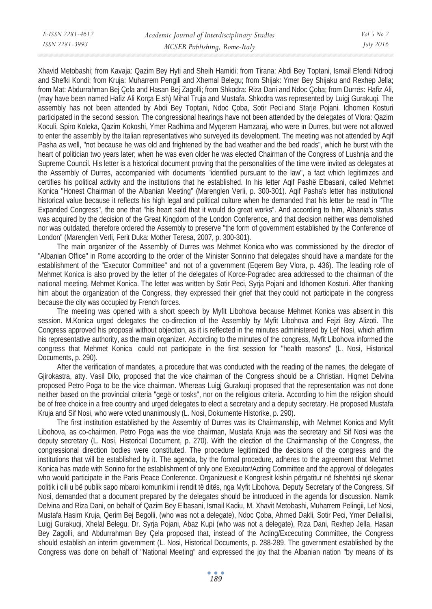Xhavid Metobashi; from Kavaja: Qazim Bey Hyti and Sheih Hamidi; from Tirana: Abdi Bey Toptani, Ismail Efendi Ndroqi and Shefki Kondi; from Kruja: Muharrem Pengili and Xhemal Belegu; from Shijak: Ymer Bey Shijaku and Rexhep Jella; from Mat: Abdurrahman Bej Çela and Hasan Bej Zagolli; from Shkodra: Riza Dani and Ndoc Çoba; from Durrës: Hafiz Ali, (may have been named Hafiz Ali Korça E.sh) Mihal Truja and Mustafa. Shkodra was represented by Luigj Gurakuqi. The assembly has not been attended by Abdi Bey Toptani, Ndoc Çoba, Sotir Peci and Starje Pojani. Idhomen Kosturi participated in the second session. The congressional hearings have not been attended by the delegates of Vlora: Qazim Koculi, Spiro Koleka, Qazim Kokoshi, Ymer Radhima and Myqerem Hamzaraj, who were in Durres, but were not allowed to enter the assembly by the Italian representatives who surveyed its development. The meeting was not attended by Aqif Pasha as well, "not because he was old and frightened by the bad weather and the bed roads", which he burst with the heart of politician two years later; when he was even older he was elected Chairman of the Congress of Lushnja and the Supreme Council. His letter is a historical document proving that the personalities of the time were invited as delegates at the Assembly of Durres, accompanied with documents "identified pursuant to the law", a fact which legitimizes and certifies his political activity and the institutions that he established. In his letter Aqif Pashë Elbasani, called Mehmet Konica "Honest Chairman of the Albanian Meeting" (Marenglen Verli, p. 300-301). Aqif Pasha's letter has institutional historical value because it reflects his high legal and political culture when he demanded that his letter be read in "The Expanded Congress", the one that "his heart said that it would do great works". And according to him, Albania's status was acquired by the decision of the Great Kingdom of the London Conference, and that decision neither was demolished nor was outdated, therefore ordered the Assembly to preserve "the form of government established by the Conference of London" (Marenglen Verli, Ferit Duka: Mother Teresa, 2007, p. 300-301).

The main organizer of the Assembly of Durres was Mehmet Konica who was commissioned by the director of "Albanian Office" in Rome according to the order of the Minister Sonnino that delegates should have a mandate for the establishment of the "Executor Committee" and not of a government (Eqerem Bey Vlora, p. 436). The leading role of Mehmet Konica is also proved by the letter of the delegates of Korce-Pogradec area addressed to the chairman of the national meeting, Mehmet Konica. The letter was written by Sotir Peci, Syrja Pojani and Idhomen Kosturi. After thanking him about the organization of the Congress, they expressed their grief that they could not participate in the congress because the city was occupied by French forces.

The meeting was opened with a short speech by Myfit Libohova because Mehmet Konica was absent in this session. M.Konica urged delegates the co-direction of the Assembly by Myfit Libohova and Fejzi Bey Alizoti. The Congress approved his proposal without objection, as it is reflected in the minutes administered by Lef Nosi, which affirm his representative authority, as the main organizer. According to the minutes of the congress, Myfit Libohova informed the congress that Mehmet Konica could not participate in the first session for "health reasons" (L. Nosi, Historical Documents, p. 290).

After the verification of mandates, a procedure that was conducted with the reading of the names, the delegate of Gjirokastra, atty. Vasil Dilo, proposed that the vice chairman of the Congress should be a Christian. Hiqmet Delvina proposed Petro Poga to be the vice chairman. Whereas Luigj Gurakuqi proposed that the representation was not done neither based on the provincial criteria "gegë or tosks", nor on the religious criteria. According to him the religion should be of free choice in a free country and urged delegates to elect a secretary and a deputy secretary. He proposed Mustafa Kruja and Sif Nosi, who were voted unanimously (L. Nosi, Dokumente Historike, p. 290).

The first institution established by the Assembly of Durres was its Chairmanship, with Mehmet Konica and Myfit Libohova, as co-chairmen. Petro Poga was the vice chairman, Mustafa Kruja was the secretary and Sif Nosi was the deputy secretary (L. Nosi, Historical Document, p. 270). With the election of the Chairmanship of the Congress, the congressional direction bodies were constituted. The procedure legitimized the decisions of the congress and the institutions that will be established by it. The agenda, by the formal procedure, adheres to the agreement that Mehmet Konica has made with Sonino for the establishment of only one Executor/Acting Committee and the approval of delegates who would participate in the Paris Peace Conference. Organizuesit e Kongresit kishin përgatitur në fshehtësi një skenar politik i cili u bë publik sapo mbaroi komunikimi i rendit të ditës, nga Myfit Libohova. Deputy Secretary of the Congress, Sif Nosi, demanded that a document prepared by the delegates should be introduced in the agenda for discussion. Namik Delvina and Riza Dani, on behalf of Qazim Bey Elbasani, Ismail Kadiu, M. Xhavit Metobashi, Muharrem Pelingii, Lef Nosi, Mustafa Hasim Kruja, Qerim Bej Begolli, (who was not a delegate), Ndoc Çoba, Ahmed Dakli, Sotir Peci, Ymer Deliallisi, Luigj Gurakuqi, Xhelal Belegu, Dr. Syrja Pojani, Abaz Kupi (who was not a delegate), Riza Dani, Rexhep Jella, Hasan Bey Zagolli, and Abdurrahman Bey Çela proposed that, instead of the Acting/Excecuting Committee, the Congress should establish an interim government (L. Nosi, Historical Documents, p. 288-289. The government established by the Congress was done on behalf of "National Meeting" and expressed the joy that the Albanian nation "by means of its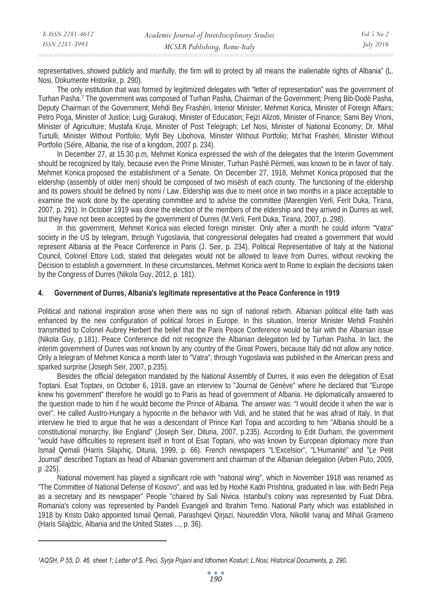| E-ISSN 2281-4612 | Academic Journal of Interdisciplinary Studies | $Vol_5$ No 2     |
|------------------|-----------------------------------------------|------------------|
| ISSN 2281-3993   | MCSER Publishing, Rome-Italy                  | <i>July 2016</i> |

representatives, showed publicly and manfully, the firm will to protect by all means the inalienable rights of Albania" (L. Nosi, Dokumente Historike, p. 290).

The only institution that was formed by legitimized delegates with "letter of representation" was the government of Turhan Pasha.7 The government was composed of Turhan Pasha, Chairman of the Government; Preng Bib-Dodë Pasha, Deputy Chairman of the Government; Mehdi Bey Frashëri, Interior Minister; Mehmet Konica, Minister of Foreign Affairs; Petro Poga, Minister of Justice; Luigj Gurakuqi, Minister of Education; Fejzi Alizoti, Minister of Finance; Sami Bey Vrioni, Minister of Agriculture; Mustafa Kruja, Minister of Post Telegraph; Lef Nosi, Minister of National Economy; Dr. Mihal Turtulli, Minister Without Portfolio; Myfit Bey Libohova, Minister Without Portfolio; Mit'hat Frashëri, Minister Without Portfolio (Sëire, Albania, the rise of a kingdom, 2007 p. 234).

In December 27, at 15.30 p.m, Mehmet Konica expressed the wish of the delegates that the Interim Government should be recognized by Italy, because even the Prime Minister, Turhan Pashë Përmeti, was known to be in favor of Italy. Mehmet Konica proposed the establishment of a Senate. On December 27, 1918, Mehmet Konica proposed that the eldership (assembly of older men) should be composed of two misësh of each county. The functioning of the eldership and its powers should be defined by nomi / Law. Eldership was due to meet once in two months in a place acceptable to examine the work done by the operating committee and to advise the committee (Marenglen Verli, Ferit Duka, Tirana, 2007, p. 291). In October 1919 was done the election of the members of the eldership and they arrived in Durres as well, but they have not been accepted by the government of Durres (M.Verli, Ferit Duka, Tirana, 2007, p. 298).

In this government, Mehmet Konica was elected foreign minister. Only after a month he could inform "Vatra" society in the US by telegram, through Yugoslavia, that congressional delegates had created a government that would represent Albania at the Peace Conference in Paris (J. Seir, p. 234). Political Representative of Italy at the National Council, Colonel Ettore Lodi, stated that delegates would not be allowed to leave from Durres, without revoking the Decision to establish a government. In these circumstances, Mehmet Konica went to Rome to explain the decisions taken by the Congress of Durres (Nikola Guy, 2012, p. 181).

### **4. Government of Durres, Albania's legitimate representative at the Peace Conference in 1919**

Political and national inspiration arose when there was no sign of national rebirth. Albanian political elite faith was enhanced by the new configuration of political forces in Europe. In this situation, Interior Minister Mehdi Frashëri transmitted to Colonel Aubrey Herbert the belief that the Paris Peace Conference would be fair with the Albanian issue (Nikola Guy, p.181). Peace Conference did not recognize the Albanian delegation led by Turhan Pasha. In fact, the interim government of Durres was not known by any country of the Great Powers, because Italy did not allow any notice. Only a telegram of Mehmet Konica a month later to "Vatra", through Yugoslavia was published in the American press and sparked surprise (Joseph Seir, 2007, p.235).

Besides the official delegation mandated by the National Assembly of Durres, it was even the delegation of Esat Toptani. Esat Toptani, on October 6, 1918, gave an interview to "Journal de Genève" where he declared that "Europe knew his government" therefore he wouldl go to Paris as head of government of Albania. He diplomatically answered to the question made to him if he would become the Prince of Albania. The answer was: "I would decide it when the war is over". He called Austro-Hungary a hypocrite in the behavior with Vidi, and he stated that he was afraid of Italy. In that interview he tried to argue that he was a descendant of Prince Karl Topia and according to him "Albania should be a constitutional monarchy, like England" (Joseph Seir, Dituria, 2007, p.235). According to Edit Durham, the government "would have difficulties to represent itself in front of Esat Toptani, who was known by European diplomacy more than Ismail Qemali (Harris Silajxhiç, Dituria, 1999, p. 66). French newspapers "L'Excelsior", "L'Humanité" and "Le Petit Journal" described Toptani as head of Albanian government and chairman of the Albanian delegation (Arben Puto, 2009, p .225).

National movement has played a significant role with "national wing", which in November 1918 was renamed as "The Committee of National Defense of Kosovo", and was led by Hoxhë Kadri Prishtina, graduated in law, with Bedri Peja as a secretary and its newspaper" People "chaired by Sali Nivica. Istanbul's colony was represented by Fuat Dibra. Romania's colony was represented by Pandeli Evangjeli and Ibrahim Temo. National Party which was established in 1918 by Kristo Dako appointed Ismail Qemali, Parashqevi Qirjazi, Noureddin Vlora, Nikollë Ivanaj and Mihail Grameno (Haris Silajdzic, Albania and the United States ..., p. 36).

 $\overline{a}$ 

*<sup>7</sup>AQSH, P 55, D. 46, sheet 1; Letter of S. Peci, Syrja Pojani and Idhomen Kosturi; L.Nosi, Historical Documents, p. 290.*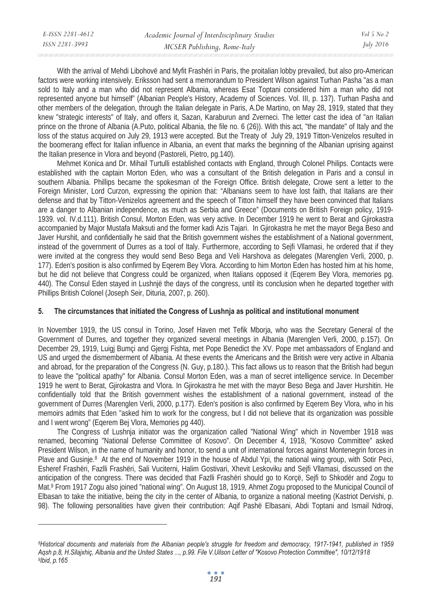| E-ISSN 2281-4612 | Academic Journal of Interdisciplinary Studies | Vol 5 No 2       |
|------------------|-----------------------------------------------|------------------|
| ISSN 2281-3993   | MCSER Publishing, Rome-Italy                  | <i>July 2016</i> |
|                  |                                               |                  |

With the arrival of Mehdi Libohovë and Myfit Frashëri in Paris, the proitalian lobby prevailed, but also pro-American factors were working intensively. Eriksson had sent a memorandum to President Wilson against Turhan Pasha "as a man sold to Italy and a man who did not represent Albania, whereas Esat Toptani considered him a man who did not represented anyone but himself" (Albanian People's History, Academy of Sciences. Vol. III, p. 137). Turhan Pasha and other members of the delegation, through the Italian delegate in Paris, A.De Martino, on May 28, 1919, stated that they knew "strategic interests" of Italy, and offers it, Sazan, Karaburun and Zverneci. The letter cast the idea of "an Italian prince on the throne of Albania (A.Puto, political Albania, the file no. 6 (26)). With this act, "the mandate" of Italy and the loss of the status acquired on July 29, 1913 were accepted. But the Treaty of July 29, 1919 Titton-Venizelos resulted in the boomerang effect for Italian influence in Albania, an event that marks the beginning of the Albanian uprising against the Italian presence in Vlora and beyond (Pastoreli, Pietro, pg.140).

Mehmet Konica and Dr. Mihail Turtulli established contacts with England, through Colonel Philips. Contacts were established with the captain Morton Eden, who was a consultant of the British delegation in Paris and a consul in southern Albania. Phillips became the spokesman of the Foreign Office. British delegate, Crowe sent a letter to the Foreign Minister, Lord Curzon, expressing the opinion that: "Albanians seem to have lost faith, that Italians are their defense and that by Titton-Venizelos agreement and the speech of Titton himself they have been convinced that Italians are a danger to Albanian independence, as much as Serbia and Greece" (Documents on British Foreign policy, 1919- 1939. vol. IV.d.111). British Consul, Morton Eden, was very active. In December 1919 he went to Berat and Gjirokastra accompanied by Major Mustafa Maksuti and the former kadi Azis Tajari. In Gjirokastra he met the mayor Bega Beso and Javer Hurshit, and confidentially he said that the British government wishes the establishment of a National government, instead of the government of Durres as a tool of Italy. Furthermore, according to Sejfi Vllamasi, he ordered that if they were invited at the congress they would send Beso Bega and Veli Harshova as delegates (Marenglen Verli, 2000, p. 177). Eden's position is also confirmed by Eqerem Bey Vlora. According to him Morton Eden has hosted him at his home, but he did not believe that Congress could be organized, when Italians opposed it (Eqerem Bey Vlora, memories pg. 440). The Consul Eden stayed in Lushnjë the days of the congress, until its conclusion when he departed together with Phillips British Colonel (Joseph Seir, Dituria, 2007, p. 260).

### **5. The circumstances that initiated the Congress of Lushnja as political and institutional monument**

In November 1919, the US consul in Torino, Josef Haven met Tefik Mborja, who was the Secretary General of the Government of Durres, and together they organized several meetings in Albania (Marenglen Verli, 2000, p.157). On December 29, 1919, Luigj Bumçi and Gjergj Fishta, met Pope Benedict the XV. Pope met ambassadors of England and US and urged the dismemberment of Albania. At these events the Americans and the British were very active in Albania and abroad, for the preparation of the Congress (N. Guy, p.180.). This fact allows us to reason that the British had begun to leave the "political apathy" for Albania. Consul Morton Eden, was a man of secret intelligence service. In December 1919 he went to Berat, Gjirokastra and Vlora. In Gjirokastra he met with the mayor Beso Bega and Javer Hurshitin. He confidentially told that the British government wishes the establishment of a national government, instead of the government of Durres (Marenglen Verli, 2000, p.177). Eden's position is also confirmed by Eqerem Bey Vlora, who in his memoirs admits that Eden "asked him to work for the congress, but I did not believe that its organization was possible and I went wrong" (Eqerem Bej Vlora, Memories pg 440).

The Congress of Lushnja initiator was the organization called "National Wing" which in November 1918 was renamed, becoming "National Defense Committee of Kosovo". On December 4, 1918, "Kosovo Committee" asked President Wilson, in the name of humanity and honor, to send a unit of international forces against Montenegrin forces in Plave and Gusinje.<sup>8</sup> At the end of November 1919 in the house of Abdul Ypi, the national wing group, with Sotir Peci, Esheref Frashëri, Fazlli Frashëri, Sali Vuciterni, Halim Gostivari, Xhevit Leskoviku and Sejfi Vllamasi, discussed on the anticipation of the congress. There was decided that Fazlli Frashëri should go to Korçë, Sejfi to Shkodër and Zogu to Mat.9 From 1917 Zogu also joined "national wing". On August 18, 1919, Ahmet Zogu proposed to the Municipal Council of Elbasan to take the initiative, being the city in the center of Albania, to organize a national meeting (Kastriot Dervishi, p. 98). The following personalities have given their contribution: Aqif Pashë Elbasani, Abdi Toptani and Ismail Ndroqi,

 $\overline{a}$ 

*<sup>8</sup>Historical documents and materials from the Albanian people's struggle for freedom and democracy, 1917-1941, published in 1959 Aqsh p.8, H.Silajxhiç, Albania and the United States ..., p.99. File V.Uilson Letter of "Kosovo Protection Committee", 10/12/1918 9Ibid, p.165*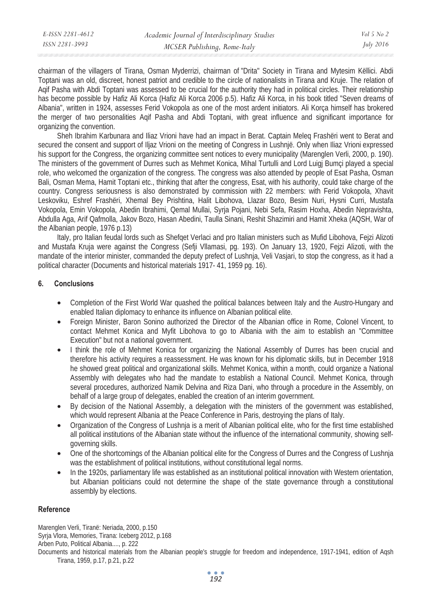| E-ISSN 2281-4612 | Academic Journal of Interdisciplinary Studies | Vol 5 No 2       |
|------------------|-----------------------------------------------|------------------|
| ISSN 2281-3993   | MCSER Publishing, Rome-Italy                  | <i>July 2016</i> |

chairman of the villagers of Tirana, Osman Myderrizi, chairman of "Drita" Society in Tirana and Mytesim Këllici. Abdi Toptani was an old, discreet, honest patriot and credible to the circle of nationalists in Tirana and Kruje. The relation of Aqif Pasha with Abdi Toptani was assessed to be crucial for the authority they had in political circles. Their relationship has become possible by Hafiz Ali Korca (Hafiz Ali Korca 2006 p.5). Hafiz Ali Korca, in his book titled "Seven dreams of Albania", written in 1924, assesses Ferid Vokopola as one of the most ardent initiators. Ali Korça himself has brokered the merger of two personalities Aqif Pasha and Abdi Toptani, with great influence and significant importance for organizing the convention.

Sheh Ibrahim Karbunara and Iliaz Vrioni have had an impact in Berat. Captain Meleq Frashëri went to Berat and secured the consent and support of Iljaz Vrioni on the meeting of Congress in Lushnjë. Only when Iliaz Vrioni expressed his support for the Congress, the organizing committee sent notices to every municipality (Marenglen Verli, 2000, p. 190). The ministers of the government of Durres such as Mehmet Konica, Mihal Turtulli and Lord Luigj Bumçi played a special role, who welcomed the organization of the congress. The congress was also attended by people of Esat Pasha, Osman Bali, Osman Mema, Hamit Toptani etc., thinking that after the congress, Esat, with his authority, could take charge of the country. Congress seriousness is also demonstrated by commission with 22 members: with Ferid Vokopola, Xhavit Leskoviku, Eshref Frashëri, Xhemal Bey Prishtina, Halit Libohova, Llazar Bozo, Besim Nuri, Hysni Curri, Mustafa Vokopola, Emin Vokopola, Abedin Ibrahimi, Qemal Mullai, Syrja Pojani, Nebi Sefa, Rasim Hoxha, Abedin Nepravishta, Abdulla Aga, Arif Qafmolla, Jakov Bozo, Hasan Abedini, Taulla Sinani, Reshit Shazimiri and Hamit Xheka (AQSH, War of the Albanian people, 1976 p.13)

Italy, pro Italian feudal lords such as Shefqet Verlaci and pro Italian ministers such as Mufid Libohova, Fejzi Alizoti and Mustafa Kruja were against the Congress (Sefji Vllamasi, pg. 193). On January 13, 1920, Fejzi Alizoti, with the mandate of the interior minister, commanded the deputy prefect of Lushnja, Veli Vasjari, to stop the congress, as it had a political character (Documents and historical materials 1917- 41, 1959 pg. 16).

### **6. Conclusions**

- Completion of the First World War quashed the political balances between Italy and the Austro-Hungary and enabled Italian diplomacy to enhance its influence on Albanian political elite.
- Foreign Minister, Baron Sonino authorized the Director of the Albanian office in Rome, Colonel Vincent, to contact Mehmet Konica and Myfit Libohova to go to Albania with the aim to establish an "Committee Execution" but not a national government.
- I think the role of Mehmet Konica for organizing the National Assembly of Durres has been crucial and therefore his activity requires a reassessment. He was known for his diplomatic skills, but in December 1918 he showed great political and organizational skills. Mehmet Konica, within a month, could organize a National Assembly with delegates who had the mandate to establish a National Council. Mehmet Konica, through several procedures, authorized Namik Delvina and Riza Dani, who through a procedure in the Assembly, on behalf of a large group of delegates, enabled the creation of an interim government.
- By decision of the National Assembly, a delegation with the ministers of the government was established, which would represent Albania at the Peace Conference in Paris, destroying the plans of Italy.
- Organization of the Congress of Lushnja is a merit of Albanian political elite, who for the first time established all political institutions of the Albanian state without the influence of the international community, showing selfgoverning skills.
- One of the shortcomings of the Albanian political elite for the Congress of Durres and the Congress of Lushnja was the establishment of political institutions, without constitutional legal norms.
- In the 1920s, parliamentary life was established as an institutional political innovation with Western orientation, but Albanian politicians could not determine the shape of the state governance through a constitutional assembly by elections.

#### **Reference**

Marenglen Verli, Tiranë: Neriada, 2000, p.150 Syrja Vlora, Memories, Tirana: Iceberg 2012, p.168 Arben Puto, Political Albania...., p. 222 Documents and historical materials from the Albanian people's struggle for freedom and independence, 1917-1941, edition of Aqsh Tirana, 1959, p.17, p.21, p.22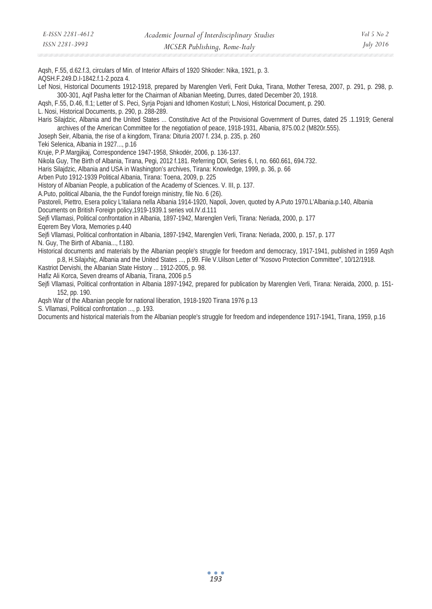AQSH.F.249.D.I-1842.f.1-2.poza 4. Lef Nosi, Historical Documents 1912-1918, prepared by Marenglen Verli, Ferit Duka, Tirana, Mother Teresa, 2007, p. 291, p. 298, p. 300-301, Aqif Pasha letter for the Chairman of Albanian Meeting, Durres, dated December 20, 1918. Aqsh, F.55, D.46, fl.1; Letter of S. Peci, Syrja Pojani and Idhomen Kosturi; L.Nosi, Historical Document, p. 290. L. Nosi, Historical Documents, p. 290, p. 288-289. Haris Silajdzic, Albania and the United States ... Constitutive Act of the Provisional Government of Durres, dated 25 .1.1919; General archives of the American Committee for the negotiation of peace, 1918-1931, Albania, 875.00.2 (M820r.555). Joseph Seir, Albania, the rise of a kingdom, Tirana: Dituria 2007 f. 234, p. 235, p. 260 Teki Selenica, Albania in 1927..., p.16 Kruje, P.P.Margjikaj, Correspondence 1947-1958, Shkodër, 2006, p. 136-137. Nikola Guy, The Birth of Albania, Tirana, Pegi, 2012 f.181. Referring DDI, Series 6, I, no. 660.661, 694.732. Haris Silajdzic, Albania and USA in Washington's archives, Tirana: Knowledge, 1999, p. 36, p. 66 Arben Puto 1912-1939 Political Albania, Tirana: Toena, 2009, p. 225 History of Albanian People, a publication of the Academy of Sciences. V. III, p. 137. A.Puto, political Albania, the the Fundof foreign ministry, file No. 6 (26). Pastoreli, Piettro, Esera policy L'italiana nella Albania 1914-1920, Napoli, Joven, quoted by A.Puto 1970.L'Albania.p.140, Albania Documents on British Foreign policy,1919-1939.1 series vol.IV.d.111 Sejfi Vllamasi, Political confrontation in Albania, 1897-1942, Marenglen Verli, Tirana: Neriada, 2000, p. 177 Eqerem Bey Vlora, Memories p.440 Sejfi Vllamasi, Political confrontation in Albania, 1897-1942, Marenglen Verli, Tirana: Neriada, 2000, p. 157, p. 177 N. Guy, The Birth of Albania..., f.180. Historical documents and materials by the Albanian people's struggle for freedom and democracy, 1917-1941, published in 1959 Aqsh p.8, H.Silajxhiç, Albania and the United States ..., p.99. File V.Uilson Letter of "Kosovo Protection Committee", 10/12/1918. Kastriot Dervishi, the Albanian State History ... 1912-2005, p. 98. Hafiz Ali Korca, Seven dreams of Albania, Tirana, 2006 p.5

Sejfi Vllamasi, Political confrontation in Albania 1897-1942, prepared for publication by Marenglen Verli, Tirana: Neraida, 2000, p. 151- 152, pp. 190.

Aqsh War of the Albanian people for national liberation, 1918-1920 Tirana 1976 p.13

Aqsh, F.55, d.62.f.3, circulars of Min. of Interior Affairs of 1920 Shkoder: Nika, 1921, p. 3.

S. Vllamasi, Political confrontation ..., p. 193.

Documents and historical materials from the Albanian people's struggle for freedom and independence 1917-1941, Tirana, 1959, p.16